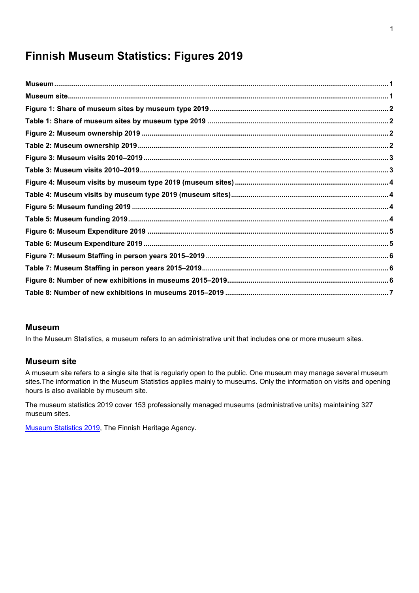# **Finnish Museum Statistics: Figures 2019**

#### <span id="page-0-0"></span>**Museum**

In the Museum Statistics, a museum refers to an administrative unit that includes one or more museum sites.

#### <span id="page-0-1"></span>**Museum site**

A museum site refers to a single site that is regularly open to the public. One museum may manage several museum sites.The information in the Museum Statistics applies mainly to museums. Only the information on visits and opening hours is also available by museum site.

The museum statistics 2019 cover 153 professionally managed museums (administrative units) maintaining 327 museum sites.

[Museum Statistics 2019,](http://www.museotilasto.fi/) The Finnish Heritage Agency.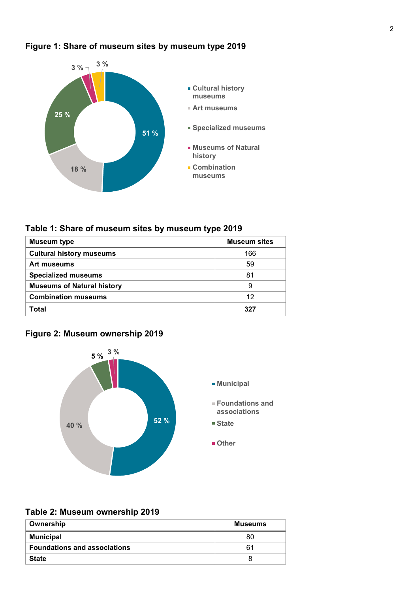

## <span id="page-1-0"></span>**Figure 1: Share of museum sites by museum type 2019**

# <span id="page-1-1"></span>**Table 1: Share of museum sites by museum type 2019**

| <b>Museum type</b>                | <b>Museum sites</b> |
|-----------------------------------|---------------------|
| <b>Cultural history museums</b>   | 166                 |
| Art museums                       | 59                  |
| <b>Specialized museums</b>        | 81                  |
| <b>Museums of Natural history</b> | 9                   |
| <b>Combination museums</b>        | 12                  |
| Total                             | 327                 |

## <span id="page-1-2"></span>**Figure 2: Museum ownership 2019**



### <span id="page-1-3"></span>**Table 2: Museum ownership 2019**

| Ownership                           | Museums |
|-------------------------------------|---------|
| <b>Municipal</b>                    | 80      |
| <b>Foundations and associations</b> | 61      |
| <b>State</b>                        |         |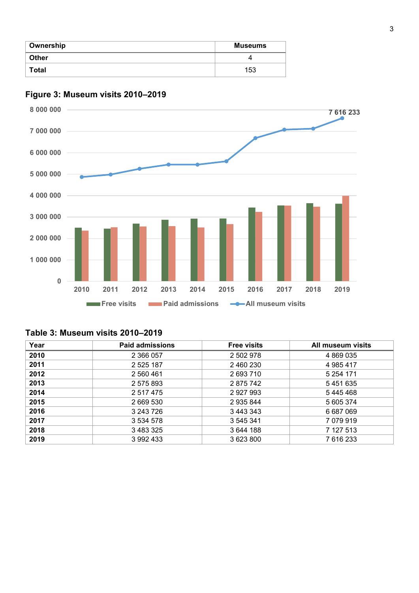| Ownership    | <b>Museums</b> |  |
|--------------|----------------|--|
| <b>Other</b> |                |  |
| Total        | 153            |  |



# <span id="page-2-0"></span>**Figure 3: Museum visits 2010–2019**

### <span id="page-2-1"></span>**Table 3: Museum visits 2010–2019**

| Year | Paid admissions | <b>Free visits</b> | All museum visits |
|------|-----------------|--------------------|-------------------|
| 2010 | 2 366 057       | 2 502 978          | 4 869 035         |
| 2011 | 2 5 2 5 1 8 7   | 2 460 230          | 4 985 417         |
| 2012 | 2 560 461       | 2693710            | 5 254 171         |
| 2013 | 2 575 893       | 2875742            | 5451635           |
| 2014 | 2 517 475       | 2 927 993          | 5445468           |
| 2015 | 2 669 530       | 2 935 844          | 5 605 374         |
| 2016 | 3 243 726       | 3 443 343          | 6 687 069         |
| 2017 | 3 534 578       | 3 545 341          | 7 079 919         |
| 2018 | 3 483 325       | 3 644 188          | 7 127 513         |
| 2019 | 3 992 433       | 3 623 800          | 7 616 233         |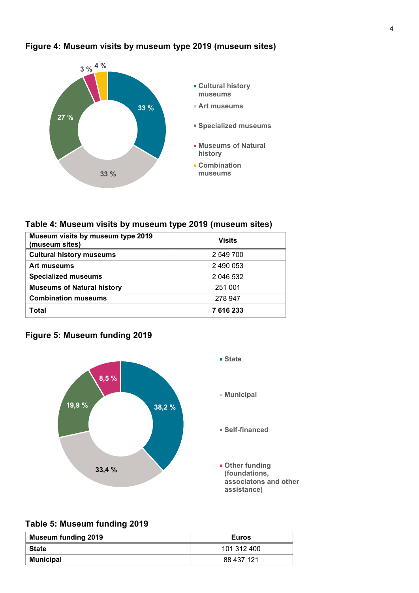<span id="page-3-0"></span>



#### <span id="page-3-1"></span>**Table 4: Museum visits by museum type 2019 (museum sites)**

| Museum visits by museum type 2019<br>(museum sites) | <b>Visits</b> |
|-----------------------------------------------------|---------------|
| <b>Cultural history museums</b>                     | 2 549 700     |
| Art museums                                         | 2 490 053     |
| <b>Specialized museums</b>                          | 2 046 532     |
| <b>Museums of Natural history</b>                   | 251 001       |
| <b>Combination museums</b>                          | 278 947       |
| Total                                               | 7616233       |

# <span id="page-3-2"></span>**Figure 5: Museum funding 2019**



## <span id="page-3-3"></span>**Table 5: Museum funding 2019**

| <b>Museum funding 2019</b> | <b>Euros</b> |
|----------------------------|--------------|
| State                      | 101 312 400  |
| <b>Municipal</b>           | 88 437 121   |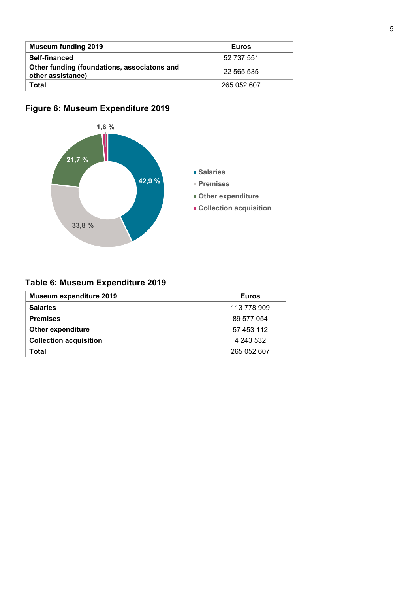| <b>Museum funding 2019</b>                                       | <b>Euros</b> |
|------------------------------------------------------------------|--------------|
| Self-financed                                                    | 52 737 551   |
| Other funding (foundations, associatons and<br>other assistance) | 22 565 535   |
| Total                                                            | 265 052 607  |

# <span id="page-4-0"></span>**Figure 6: Museum Expenditure 2019**



# <span id="page-4-1"></span>**Table 6: Museum Expenditure 2019**

| <b>Museum expenditure 2019</b> | <b>Euros</b> |
|--------------------------------|--------------|
| <b>Salaries</b>                | 113 778 909  |
| <b>Premises</b>                | 89 577 054   |
| <b>Other expenditure</b>       | 57 453 112   |
| <b>Collection acquisition</b>  | 4 243 532    |
| Total                          | 265 052 607  |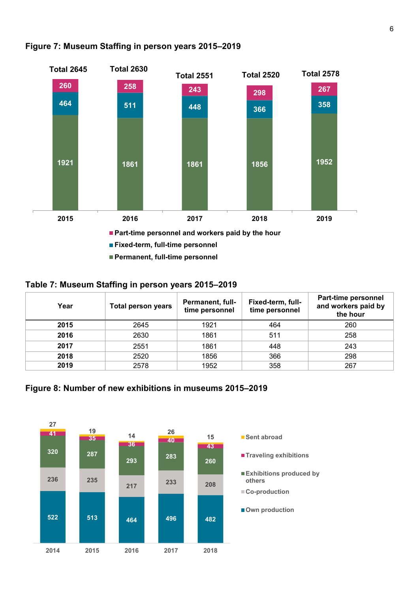

### <span id="page-5-0"></span>**Figure 7: Museum Staffing in person years 2015–2019**

#### <span id="page-5-1"></span>**Table 7: Museum Staffing in person years 2015–2019**

| Year | Total person years | <b>Permanent, full-</b><br>time personnel | Fixed-term, full-<br>time personnel | Part-time personnel<br>and workers paid by<br>the hour |
|------|--------------------|-------------------------------------------|-------------------------------------|--------------------------------------------------------|
| 2015 | 2645               | 1921                                      | 464                                 | 260                                                    |
| 2016 | 2630               | 1861                                      | 511                                 | 258                                                    |
| 2017 | 2551               | 1861                                      | 448                                 | 243                                                    |
| 2018 | 2520               | 1856                                      | 366                                 | 298                                                    |
| 2019 | 2578               | 1952                                      | 358                                 | 267                                                    |

## <span id="page-5-2"></span>**Figure 8: Number of new exhibitions in museums 2015–2019**